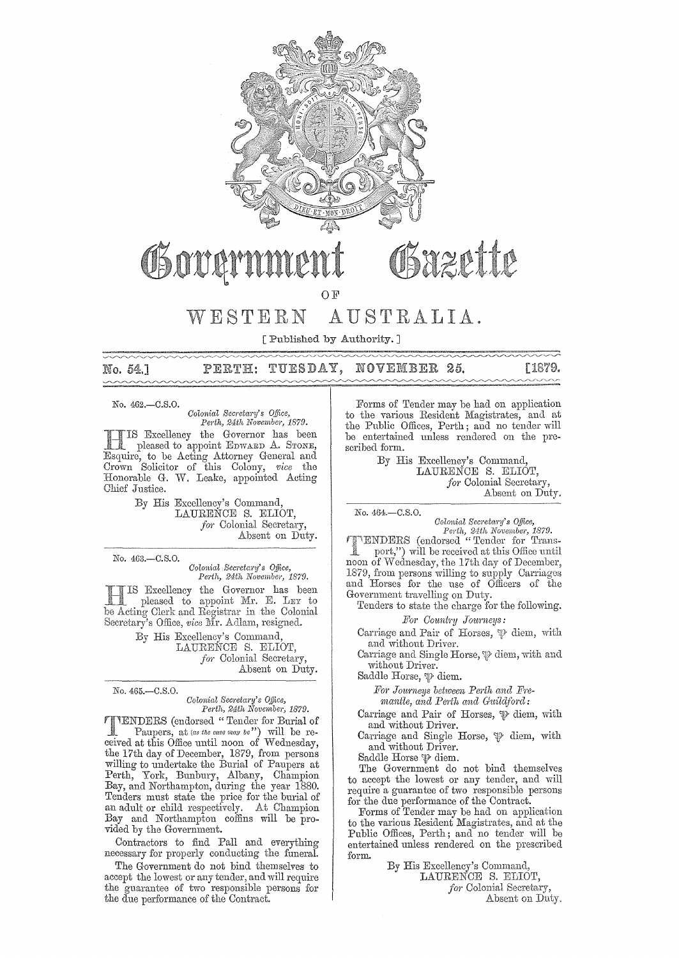

# Bazette OSovan

OF

# WESTERN AUSTRALIA.

[ Published by Authority. ]

NOVEMBER 25. No. 54.1 TUESDAY, PERTH:

No. 462.-C.S.O.

*Colonial Secretary's Office, Perth, 24th November, 1879.* 

HIS Excellency the Governor has been pleased to appoint EmvARD A. STONE, Esquire, to be Acting Attorney General and Crown 'Solicitor of this Colony, *vice* the Honomble G. W. Leake, appointed Acting Chief Justice.

> By His Excellency's Command, LAURENCE S. ELIOT, for Colonial Secretary, Absent on Duty.

No. 463.-C.S.O.

*Colonial Secretary's Office, Perth, 24th Novembei', 1879.* 

Excellency the Governor has been pleased to appoint  $Mr. E. L EY$  to Clerk and Registrar in the Colonial<br>s: Office, *vice* Mr. Adlam, resigned.

> His Excellency's Command, LAURENCE S. ELIOT, *for* Colonial Secretary, Absent on Duty.

No. 465.-C.S.O.

*Colonial Secretary's Office, Perth, 24th November, 1879.* 

TENDERS (endorsed" Tender for Burial of Paupers, at *(as the case may be*") will be received at this Office until noon of Wednesday, the 17th day of December, 1879, from persons willing to undertake the Burial of Paupers at Perth, York, Bunbury, Albany, Champion Bay, and Northampton, during the year 1880. Tenders must state the price for the burial of an adult or child respectively. At Champion Bay and Northampton coffins will be provided by the Government.

Contractors to find Pall and everything necessary for properly conducting the funeral.

The Government do not bind themselves to accept the lowest or any tender, and will require the guanmtee of two responsible persons for the due performance of the Contract.

Forms of Tender may be had on application to the various Resident Magistrates, and at the Public Offices, Perth; aud no tender WIll be entertained unless rendered on the prescribed form.

> By His Excellency's Command, LAURENCE S. ELIOT, for Colonial Secretary, Absent on Duty.

No. 464.-C.S.O.

[1879.

*Colonial Secretary's Office,<br>Perth, 24th November, 1879.*<br>(endorsed "Tender for Transport,") will be received at this Office until noon of Wednesday, the 17th day of December, 1879, from persons willing to supply Carriages and Horses for the use of Officers of the Government travelling on Duty.

Tenders to state the charge for the following. *Foj' Cmmt1'Y Joumwys:* 

Carriage and Pair of Horses,  $\mathfrak{P}$  diem, with and without Driver.

Carriage and Single Horse,  $\psi$  diem, with and without Driver.

Saddle Horse,  $\mathfrak{P}$  diem.

For Journeys between Perth and Fre $mantle, and Perth and Guidford:$ 

Carriage and Pair of Horses,  $\mathcal P$  diem, with and without Driver.

Carriage and Single Horse,  $\mathcal P$  diem, with and without Driver.

Saddle Horse  $\mathcal P$  diem.

The Government do not bind themselves to accept the lowest or any tender, and will require a guarantee of two responslble persons for the due performance of the Contract.

Forms of Tender may be had on application to the various Resident Magistrates, and at the Public Offices, Perth; and no tender will be entertained unless rendered on the prescribed form.

> By His Excellency's Command, LAURENCE S. ELIOT, *for* Colonial Secretary, Absent on Duty.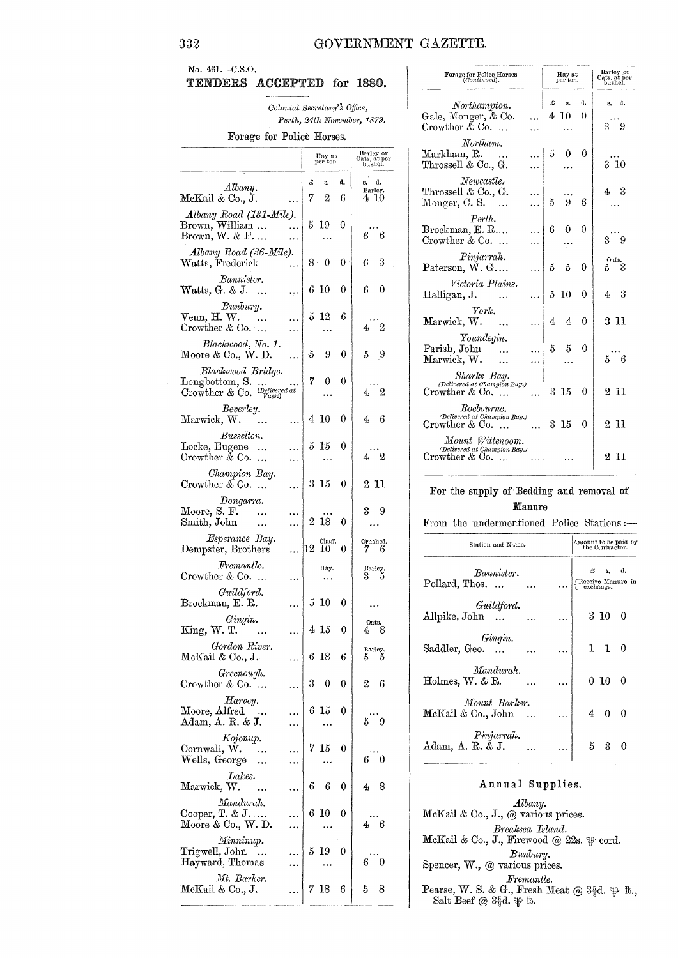## No. 461 .- C.S.O. TENDERS ACCEPTED for 1880.

Colonial Secretary's Office, Perth, 24th November, 1879.

### Forage for Police Horses.

|                                                                                                                                                                       |    | Hay at per ton. |    | Barley or<br>Oats, at per<br>bushel. |
|-----------------------------------------------------------------------------------------------------------------------------------------------------------------------|----|-----------------|----|--------------------------------------|
|                                                                                                                                                                       | £  | s,              | d. | а.<br>8.                             |
| Albany.<br>McKail & Co., J.                                                                                                                                           | 7  | 2               | 6  | Barley.<br>410                       |
| Albany Road (131-Mile).<br>Brown, William<br>Brown, W. & F                                                                                                            |    | 5 19            | 0  | 66                                   |
| Albany Road (36-Mile).<br>Watts, Frederick                                                                                                                            |    | 8 -<br>0        | 0  | 3<br>6                               |
| Bannister.<br>Watts, G. & J.<br>$\cdots$<br>٠.,                                                                                                                       | 6  | -10             | 0  | 0<br>6                               |
| Bunbury.<br>Venn, H. W.<br>$\cdots$<br>.<br>Crowther & Co<br>.                                                                                                        | 5  | 12              | 6  | $4\quad 2$                           |
| Blackwood, No. 1.<br>Moore & Co., W. D.<br>.                                                                                                                          | -5 | 9               | 0  | -9<br>5                              |
| Blackwood Bridge.<br>$\begin{array}{l} \text{Longbottom, S.} \quad  \\ \text{Crowther \& Co.} \quad \substack{\textit{(Delivered at}\\ \textit{Vasse)} } \end{array}$ | 7  | 0               | 0  | $4\quad 2$                           |
| Beverley.<br>Marwick, W.<br>.                                                                                                                                         |    | 410             | 0  | 4<br>6                               |
| Busselton.<br>Locke, Eugene<br>$\ddotsc$<br>Crowther $\&$ Co.<br>$\ddotsc$                                                                                            | 5. | 15              | 0  | $4\quad 2$                           |
| Champion Bay.<br>Crowther $\&$ Co.<br>                                                                                                                                | 3  | 15              | 0  | 2 11                                 |
| Dongarra.<br>Moore, S. F.<br><br>Smith, John<br>                                                                                                                      | 2  | 18              | 0  | 3<br>9                               |
| Esperance Bay.<br>Dempster, Brothers                                                                                                                                  | 12 | Chaff.<br>10    | 0  | Crushed.<br>- 6                      |
| Fremantle.<br>Crowther $\&$ Co                                                                                                                                        |    | Hay.            |    | Barley.<br>3 5                       |
| Guildford.<br>Brockman, E. R.                                                                                                                                         |    | 5 10            | 0  |                                      |
| Gingin.<br>King, W. T.<br>$\cdots$                                                                                                                                    |    | 415             | 0  | Oats.<br>8<br>4,                     |
| Gordon River.<br>McKail & Co., J.<br>.                                                                                                                                |    | 6 18            | 6  | Barley.<br>$5\;\;\;5$                |
| Greenough.<br>Crowther & Co.                                                                                                                                          | 3  | 0               | 0  | 2<br>6                               |
| Harvey.<br>Moore, Alfred<br>$\Delta\Delta$<br>Adam, A. R. & J.                                                                                                        |    | 6 15            | 0  | 59                                   |
| Kojonup.<br>Cornwall, W.<br>$\ldots$<br>Wells, George                                                                                                                 | 7. | 15              | 0  | 6.<br>0                              |
| Lakes.<br>Marwick, W.<br>                                                                                                                                             | 6  | 6               | 0  | 8<br>4                               |
| Mandurah.<br>Cooper, T. & J.<br>Moore & Co., W. D.                                                                                                                    | 6. | 10              | 0  | 46                                   |
| Minninup.<br>Trigwell, John<br>$\ldots$<br>Hayward, Thomas                                                                                                            | 5. | 19              | 0  | 6<br>0                               |
| Mt. Barker.<br>McKail & Co., J.                                                                                                                                       | 7. | 18              | 6  | 5<br>8                               |

| Forage for Police Horses<br>(Continued).                                 | Hay at<br>per ton.         | Barley or<br>Oats, at per<br>bushel. |
|--------------------------------------------------------------------------|----------------------------|--------------------------------------|
| Northampton.<br>Gale, Monger, & Co.<br>Crowther $& Co. \dots$            | £<br>d.<br>s.<br>4 10<br>0 | d.<br>8.<br>$3 \overline{9}$         |
| Northam.<br>Markham, R.<br>Throssell & Co., G.                           | $5^{\circ}$<br>0<br>0      | $3\,\,10$                            |
| Newcastle.<br>Throssell & Co., G.<br>$Monger, C. S.$                     | 5<br>9<br>6                | - 3<br>4                             |
| Perth.<br>Brockman, E. R<br>Crowther $& Co. \dots$                       | 6<br>0<br>0                | $3 \overline{9}$                     |
| Pinjarrah.<br>Paterson, W. G                                             | 5<br>5<br>0                | <sup>Oats</sup> .<br>3<br>$5 -$      |
| Victoria Plains.<br>Halligan, J.                                         | 5 10<br>0                  | 43                                   |
| York.<br>Marwick, W.                                                     | 0<br>4 <sub>1</sub><br>4   | 3 11                                 |
| Youndegin.<br>Parish, John<br>Marwick, W.                                | $5 -$<br>5<br>0            | 5 <sup>6</sup>                       |
| Sharks Bay.<br>(Delivered at Champion Bay.)<br>$C$ rowther & Co. $\dots$ | 3 15<br>$\theta$           | 211                                  |
| Roebourne.<br>(Delivered at Champion Bay.)<br>$C$ rowther & Co. $\dots$  | 3 15<br>$\Omega$           | $2\,$ $11$                           |
| Mount Wittenoom.<br>(Delivered at Champion Bay.)<br>Crowther & Co.       |                            | $2\,$ $11$                           |

## For the supply of Bedding and removal of Manure

From the undermentioned Police Stations:-

| Station and Name.                      |   | Amount to be paid by<br>the Contractor. |                    |          |
|----------------------------------------|---|-----------------------------------------|--------------------|----------|
| Rannister.<br>Pollard, Thos            |   | £<br>(Receive Manure in                 | s. d.<br>exchange. |          |
| Guildford.<br>$\rm{Allpike},\rm{John}$ |   |                                         | 3 10               | $\Omega$ |
| Gingin.<br>Saddler, Geo.               |   |                                         | $1\quad1$          | $\theta$ |
| Mandurah.<br>Holmes, W. & R.           | . |                                         | $0\ 10\ 0$         |          |
| Mount Barker.<br>McKail & Co., John    |   |                                         | $4\quad 0$         | 0        |
| Pinjarrah.<br>Adam, A. R. & J.         |   | 5                                       | 3                  |          |

## Annual Supplies.

 $\label{prop:subm} \begin{array}{c} \textit{Albany.} \\ \textit{McKail} \ \& \ \textit{Co., J.,} \ \ @ \ \textit{various prices.} \end{array}$ Breaksea Island. McKail & Co., J., Firewood @ 22s.  $\mathfrak{P}$  cord.  $\begin{minipage}{.4\linewidth} \textbf{B}unbury. \\ \textbf{Spencer, W., @ various prices.} \end{minipage}$ Fremantle.<br>Pearse, W. S. & G., Fresh Meat @  $3\frac{5}{8}d$ .  $\mathfrak{P}$  lb., Salt Beef @  $3\frac{5}{8}d$ .  $\mathfrak{P}$  lb.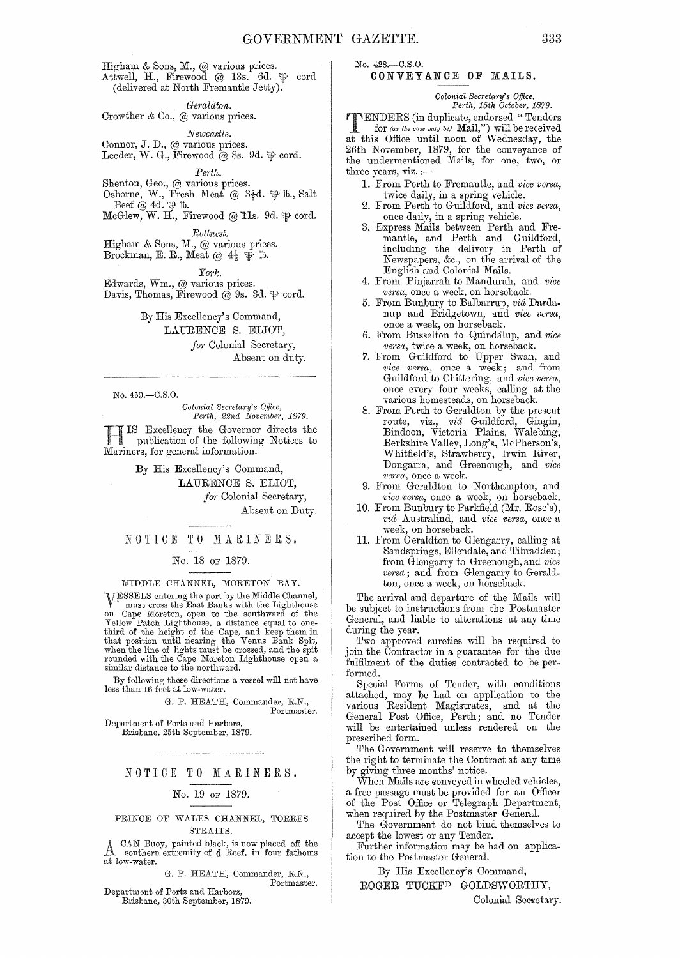Higham & Sons, M., @ various prices. Attwell, H., Firewood @ 13s. 6d.  $\mathfrak{P}\;$  cord (delivered at North Fremantle Jetty).

 $Geraldton.$ 

Crowther & Co., @ various prices.

 $Newcastle.$ Connor, J. D., @ various prices. Leeder, W. G., Firewood  $\hat{\boldsymbol{\omega}}$  8s. 9d.  $\boldsymbol{\psi}$  cord.

*Perth.* 

Shenton, Geo., @ various prices. Osborne, W., Fresh Meat @  $3\frac{7}{8}d.$   $\mathfrak{P}$  lb., Salt

Beef  $@$  4d.  $\Psi$  1b.  $McGlew, W. H., Firewood @11s. 9d.$   $\mathfrak{P}$  cord.

*Eottnest.* 

Higham & Sons, M.,  $@$  various prices. Brockman, E. R., Meat  $@ 4\frac{1}{2}$   $\psi$  ib.

*Ym·lc.* 

Edwards, Wm., @ various prices. Davis, Thomas, Firewood  $\overline{\omega}$  9s. 3d.  $\overline{\psi}$  cord.

By His Excellency's Command,

LAURENCE S. ELIOT,

*for* Colonial Secretary, Absent on duty.

No. 459.-C.S.0.

*Oolonial SeCl'eta1'y's Office, Perth, 22nd November, 1879.* 

IIS Excellency the Governor directs the publication of the following Notices to Mariners, for general information.

By His Excellency's Command,

LAURENCE S. ELIOT,

*for* Colonial Secretary,

Absent on Duty.

### NOTICE TO MARINERS.

No. 18 OF 1879.

### MIDDLE CHANNEL, MORETON BAY.

VESSELS entering the port by the Middle Channel,<br>must cross the East Banks with the Lighthouse<br>on Cape Moreton, open to the southward of the<br>Yellow Patch Lighthouse, a distance equal to one-<br>third of the height of the Cape rounded with the Cape Moreton Lighthouse open a similar distance to the northward.

By following these directions a vessel will not have less than 16 feet at low-water.

> G. P. HEATH, Commander, R.N., Portmaster.

Department of Ports and Harbors, Brisbane, 25th September, 1879.

### NOTICE TO MARINERS.

No. 19 OF 1879.

PRINCE OF WALES CHANNEL, TORRES  ${\tt STRATTS}.$ 

A CAN Buoy, painted black, is now placed off the southern extremity of d Reef, in four fathoms at low-water.

G. P. HEATH, Commander, R.N.,

Portmaster.

Department of Ports and Harbors, Brisbane, 30th September, 1879. No. 428.-C.S.0.

## CONVEY ANCE **OF** MAILS.

## *Colonial Secretary's Office,*<br>Perth, 15th October, 1879.

**TENDERS** (in duplicate, endorsed "Tenders<br>for *(as the case may be)* Mail,") will be received<br>at this Office until noon of Wodnesday, the at this Office until noon of Wednesday, the 26th November, 1879, for the conveyance of the undermentioned Mails, for one, two, or three years, viz. ;-

- 1. From Perth to Fremantle, and *vice versa,*  twice daily, in a spring vehicle.
- 2. From Perth to Guildford, and *vice versa*, once daily, in a spring vehicle.
- 3. Express Mails between Perth and Fremantle, and Perth and Guildford, including the delivery in Perth of Newspapers, &c., on the arrival of the English and Colonial Mails.
- 4. From Pinjarrah to Mandurah, and *vice Ve1'sa,* once a week, on horseback.
- 5. From Bunbury to Balbarrup, *via* Dardanup and Bridgetown, and vice versa, once a week, on horseback.
- 6. From Busselton to QuindaJup, and *vice versa,* twice a week, on horseback.
- 7. From Guildford to Upper Swan, and *vice versa,* once a week; and from Guildford to Chittering, and *vice versa*, once every four weeks, calling at the various homesteads, on horseback.
- 8. From Perth to Geraldton by the present route, viz., *via* Guildford, Gingin, Bindoon, Victoria Plains, Walebing, Berkshire Valley, Long's, McPherson's, Whitfield's, Strawbeny, Irwin River, Dongarra, and Greenough, and *vice versa,* once a week.
- 9. From Geraldton to Northampton, and *vice versa*, once a week, on horseback.
- 10. From Bunbury to Parkfie1d (Mr. Rose's),  $vi\hat{a}$  Australind, and *vice versa*, once a week, on horseback.
- H. From Geraldton to Glengarry, calling at Sandsprings, Ellcndale, and Tibradden; from Glengarry to Greenough, and *vice vena;* and from Glengarry to Geraldton, once a week, on horseback.

The arrival and departure of the Mails will be subject to instructions from the Postmaster General, and liable to alterations at any time during the year.

Two approved sureties will be required to join the Contractor in a guarantee for the due fulfilment of the duties contracted to be performed.

Special Forms of Tender, with conditions attached, may be had on application to the various Resident Magistrates, and at the General Post Office, Perth; and no Tender will be entertained unless rendered on the presaribed form.

The Government will reserve to themselves the right to terminate the Contract at any time by giving three months' notice.

When Mails are conveyed in wheeled vehicles, a free passage must be provided for an Officer of the Post Office or Telegraph Department, when required by the Postmaster General.

The Government do not bind themselves to accept the lowest or any Tender.

Further information may be had on application to the Postmaster General.

By His Excellency's Command,

ROGER TUCKFD. GOLDSWORTHY,

Colonial Secretary.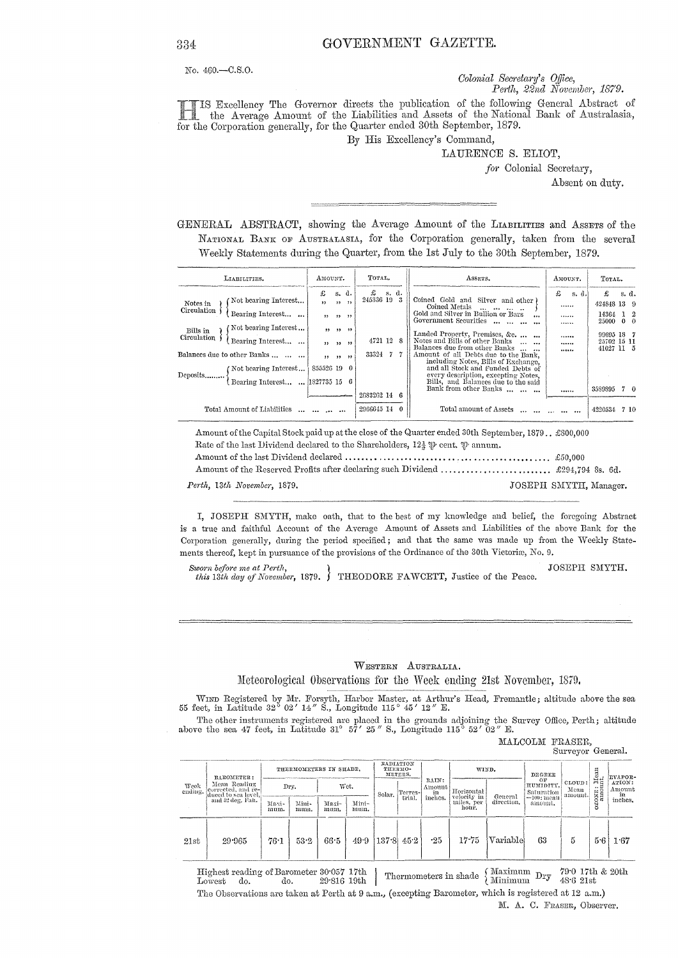No. 460.-C.S.O.

Colonial Secretary's Office, Perth, 22nd November, 1879.

IS Excellency The Governor directs the publication of the following General Abstract of the Average Amount of the Liabilities and Assets of the National Bank of Australasia, for the Corporation generally, for the Quarter ended 30th September, 1879.

By His Excellency's Command,

LAURENCE S. ELIOT,

for Colonial Secretary,

Absent on duty.

GENERAL ABSTRACT, showing the Average Amount of the LIABILITIES and ASSETS of the NATIONAL BANK OF AUSTRALASIA, for the Corporation generally, taken from the several Weekly Statements during the Quarter, from the 1st July to the 30th September, 1879.

| LIABILITIES.                                                                                                                                                                                                                                        | AMOUNT.                    |                      |                            | TOTAL.                                     |        | ASSETS.                                                                                                                                                                                                                                                                                                                                                                                                                                                                  |   | AMOUNT.              |       | TOTAL.                                                                                |       |  |
|-----------------------------------------------------------------------------------------------------------------------------------------------------------------------------------------------------------------------------------------------------|----------------------------|----------------------|----------------------------|--------------------------------------------|--------|--------------------------------------------------------------------------------------------------------------------------------------------------------------------------------------------------------------------------------------------------------------------------------------------------------------------------------------------------------------------------------------------------------------------------------------------------------------------------|---|----------------------|-------|---------------------------------------------------------------------------------------|-------|--|
| Not bearing Interest<br>Notes in<br>Circulation<br>Bearing Interest<br>Not bearing Interest<br>Bills in<br>Circulation<br>Bearing Interest<br>Balances due to other Banks<br>(Not bearing Interest)<br>Deposits<br>Bearing Interest  [1827735 15 6] | £<br>$, \,$<br>855526 19 0 | 22 22 22<br>22.22.22 | s. d.<br>22.22<br>22.22.22 | £<br>245336 19 3<br>4721 12 8<br>33324 7 7 | -s. d. | Coined Gold and Silver and other)<br>Coined Metals<br>and the same and<br>Gold and Silver in Bullion or Bars<br>$\cdots$<br>Government Securities<br><br>Landed Property, Premises, &c.<br>Notes and Bills of other Banks<br>Balances due from other Banks<br>$\cdots$<br>Amount of all Debts due to the Bank,<br>including Notes, Bills of Exchange,<br>and all Stock and Funded Debts of<br>every description, excepting Notes,<br>Bills, and Balances due to the said | £ | <br><br><br><br><br> | s. d. | £<br>424848 13 9<br>14364 1 2<br>25000 0 0<br>99695 18 7<br>25702 15 11<br>41027 11 5 | s. d. |  |
|                                                                                                                                                                                                                                                     |                            |                      |                            | 2683262 14 6                               |        | Bank from other Banks                                                                                                                                                                                                                                                                                                                                                                                                                                                    |   |                      |       | 3589895                                                                               | 70    |  |
| Total Amount of Liabilities                                                                                                                                                                                                                         | and the case and           |                      |                            | 2966645 14 0                               |        | Total amount of Assets<br>$\mathbf{r}$ and $\mathbf{r}$ and $\mathbf{r}$                                                                                                                                                                                                                                                                                                                                                                                                 |   |                      |       | 4220534 7 10                                                                          |       |  |

| Rate of the last Dividend declared to the Shareholders, $12\frac{1}{6}$ $\psi$ cent, $\psi$ annum. |                        |
|----------------------------------------------------------------------------------------------------|------------------------|
|                                                                                                    |                        |
|                                                                                                    |                        |
| Perth, 13th November, 1879,                                                                        | JOSEPH SMYTH, Manager. |

I, JOSEPH SMYTH, make oath, that to the best of my knowledge and belief, the foregoing Abstract is a true and faithful Account of the Average Amount of Assets and Liabilities of the above Bank for the Corporation generally, during the period specified; and that the same was made up from the Weekly Statements thereof, kept in pursuance of the provisions of the Ordinance of the 30th Victoriæ, No. 9.

Sworn before me at Perth, JOSEPH SMYTH. this 13th day of November, 1879. THEODORE FAWCETT, Justice of the Peace.

WESTERN AUSTRALIA.

### Meteorological Observations for the Week ending 21st November, 1879.

WIND Registered by Mr. Forsyth, Harbor Master, at Arthur's Head, Fremantle; altitude above the sea 55 feet, in Latitude 32° 02' 14" S., Longitude 115° 45' 12" E.

The other instruments registered are placed in the grounds adjoining the Survey Office, Perth; altitude above the sea 47 feet, in Latitude 31° 57' 25" S., Longitude 115° 52' 02" E.

|                 |                                                                                             |                                                                    |               |                 |               |        |                   |                                  |                                                  |                       |                                                           | Surveyor General.         |                               |                                   |
|-----------------|---------------------------------------------------------------------------------------------|--------------------------------------------------------------------|---------------|-----------------|---------------|--------|-------------------|----------------------------------|--------------------------------------------------|-----------------------|-----------------------------------------------------------|---------------------------|-------------------------------|-----------------------------------|
| Week<br>cuding. | BAROMETER:<br>Mean Reading<br>corrected, and re-<br>duced to sea level.<br>and 32 deg. Fan. | RADIATION<br>THERMOMETERS IN SHADE.<br>ТИЕВМО-<br>WIND.<br>METERS. |               |                 |               |        |                   |                                  | DEGREE                                           |                       | Iean<br>L                                                 | EVAPOR-                   |                               |                                   |
|                 |                                                                                             |                                                                    | Dry.          |                 | Wet.          | Solar. | Terres-<br>trial. | RAIN:<br>Amount<br>in<br>inches. | Horizontal<br>velocity in<br>miles, per<br>hour. | General<br>direction. | OF<br>HUMIDITY.<br>Saturation<br>$=100$ : meau<br>amount. | CLOUD:<br>Mean<br>amount. | FίΩ<br>$\ddotsc$<br>CONE<br>ö | ATION:<br>Amount<br>in<br>inches, |
|                 |                                                                                             | Maxi-<br>mum.                                                      | Mini-<br>num. | $Maxi-$<br>mum. | Mini-<br>mum. |        |                   |                                  |                                                  |                       |                                                           |                           |                               |                                   |
| 21st            | 29.965                                                                                      | 76:1                                                               | 53.2          | 66.5            | 49.9          | 137.8  | 45.2              | $-25$                            | 17.75                                            | Variable              | 63                                                        | 5                         | 5.6                           | 1.67                              |

Thermometers in shade  $\left\{\begin{array}{ll} \mbox{Maximum} & \mbox{Dry} & \mbox{79-0 17th} \\ \mbox{Minimum} & \mbox{Dry} & \mbox{48-6 21st} \end{array}\right.$ Highest reading of Barometer  $30^{\circ}057$ 17th  $79^\circ0$ 17th & 20th  $Lowest$ do. do. 29 816 19th The Observations are taken at Perth at 9 a.m., (excepting Barometer, which is registered at 12 a.m.)

MALCOLM FRASER,

### 334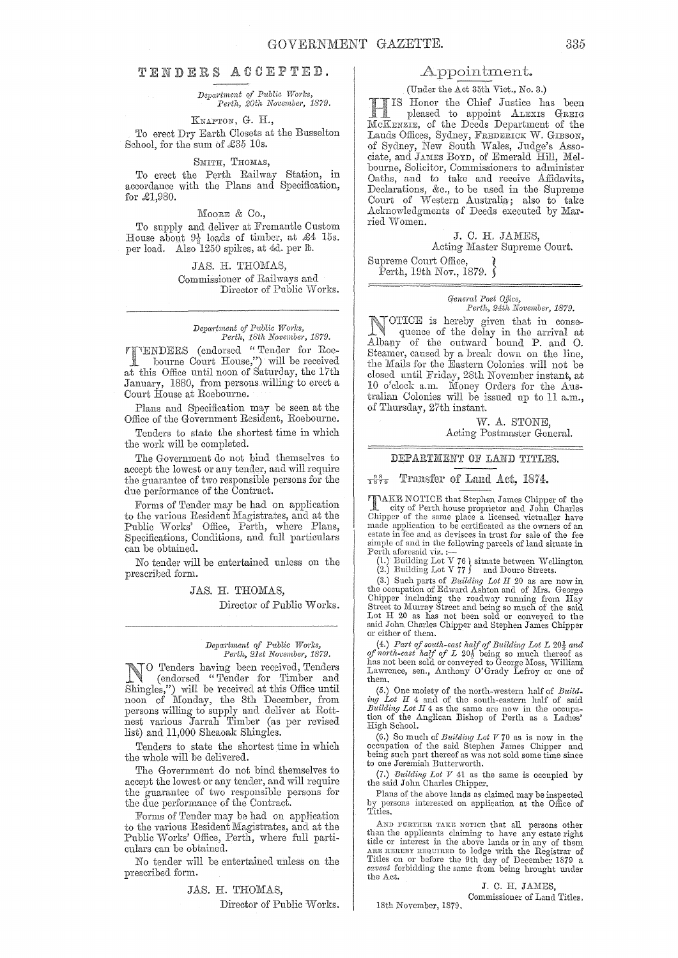## TENDERS ACCEPTED.

### *Depa:rtnwnt Public Works, Perth, NQvember, 1879.*

### KNAPTON, G. H.,

To erect Dry Earth Closets at the Busselton School, for the sum of £35 10s.

#### SMITH, THOMAS,

To erect the PeTth Railway Station, in accordance with the Plans and Specification, for £1,980.

MOORE & Co.,

To supply and deliver at Fremantle Custom House about  $9\frac{1}{2}$  loads of timber, at £4 15s. per load. Also 1250 spikes, at 4d. per lh.

> JAS. H. Commissioner of Railways and Director of Public Works.

## *Department of Public Works,*<br> *Perth, 18th November, 1879.*

(endorsed "Tender for Roebourne Court House,") will be received at this Office until noon of Saturday, the 17th January, 1880, from persons willing to erect a Court House at Roebourne.

Plans and Specification may be seen at the Office of the Government Resident, Roebourne.

Tenders to state the shortest time in which the work will be completed.

The Government do not bind themselves to accept the lowest or any tender, and will require the guarantee of two responsible persons for the due performance of the Contract.

Forms of Tender may be had on application to the various Resident Magistrates, and at the Public Works' Office, Perth, where Plans, Specifications, Conditions, and full particulars can be obtained.

No tender will be entertained unless on the prescribed form.

JAS. H. THOMAS,

Director of Public Works.

### *Depcwtnwnt of P1tblic W01'ks, Perth, 21st November, 1879.*

No Tenders having been received, Tenders (endorsed "Tender for Timber and Shingles,") will be received at this Office until noon of Monday, the 8th December, from persons willing to supply and deliver at Rottnest various Jarrah Timber (as per revised list) and 11,000 Sheaoak Shingles.

Tenders to state the shortest time in which the whole will be delivered.

The Government do not bind themselves to accept the lowest or any tender, and will require the guarantee of two responsible persons for the due performance of the Contract.

Forms of Tender may be had on application to the various Resident Magistrates, and at the Public Works' Office, Perth, where full particulars can be obtained.

No tender will be entertained unless on the prescribed form.

## JAS. H. THOMAS, Director of Public Works.

### Appointment.

### (Under the Act 35th Vict., No. 3.)

Honor the Chief Justice has been **Pleased to appoint ALEXIS GREIG**<br>CKENZIE, of the Deeds Department of the Lands Offices, Sydney, FREDERICK W. GIBSON, of Sydney, New South Wales, Judge's Associate, and JAMES BOYD, of Emerald Hill, Melbourne, Solicitor, Oommissioners to administer Oaths, and to take and receive Affidavits, Declarations, &c., to be used in the Supreme Oourt of Western Australia; also to take Acknowledgments of Deeds executed by Married Vvomen.

## J. C. H.

Acting Master Supreme Court.

Supreme Oourt Office, } Perth, 19th Nov., 1879.  $\delta$ 

### *Oeneral Post O.ffice, Perth, 24th November, 1879.*

IICE is hereby given that in consequence of the delay in the arrival at of the outward bound P. and 0. Steamer, caused by a break down on the line, the Nlails for the Eastern Colonies will not be closed until Friday, 28th November instant, at 10 o'clock a.m. Money Orders for the Australian Colonies will be issued up to 11 a.m., of Thursday, 27th instant.

> W. A. STONE, Acting Postmaster General.

### DEPARTMENT OF LAND TITLES.

### $\frac{98}{1879}$  Transfer of Land Act, 1874.

**TIMER NOTICE** that Stephen James Chipper of the city of Perth house proprietor and John Charles Chipper of the same place a licensed victaaller have made application to be certificated as the owners of an estate in fee an simple of and in the following parcels of land situate in Perth aforesaid viz. :--

(1.) Building Lot V 76 ) situate between Wellington<br>(2.) Building Lot V 77 ) and Douro Streets.

(3.) Such parts of *Building Lot H* 20 as are now in the occupation of Edward Ashton and of Mrs. George Chipper including the roadway running from Hay Street to Murray Street and being so much of the said Lot H 20 as has

(4.) Part of south-east half of Building Lot L  $20\frac{1}{2}$  and of north-cast half of L  $20\frac{1}{2}$  being so much thereof as has not been sold or conveyed to George Moss, William Lawrence, sen., Anthony O'Grady Lefroy or one of them.

(5.) One moiety of the north··western half of *Build\_ ing Lot H* 4 and of the south-eastern half of said *Building Lot H* 4 as the same are now in the occupation of the Anglican Bishop of Perth as a Ladies' High School.

(6.) So much of *Building Lot*  $V$  70 as is now in the occupation of the said Stephen James Chipper and being such part thereof as was not sold some time since to one Jeremiah Butterworth.

(7.) *Building Lot*  $V$  41 as the same is occupied by the said John Charles Chipper.

Plans of the above lands as claimed may be inspected by persons interested on application at the Office of Titles.

AND FuRTHER TAKE NOTICE that all persons other than the applicants claiming to have any estate right title or interest in the above lands or in any of them ARE INEREST REQUIRED to lodge with the Registrar of Titles on or before the 9th day of December 1879 a *caveat* forbidding the same from being bronght under the Act.

> J. C. H. JAMES, Commissioner of Land Titles.

18th November, 1879.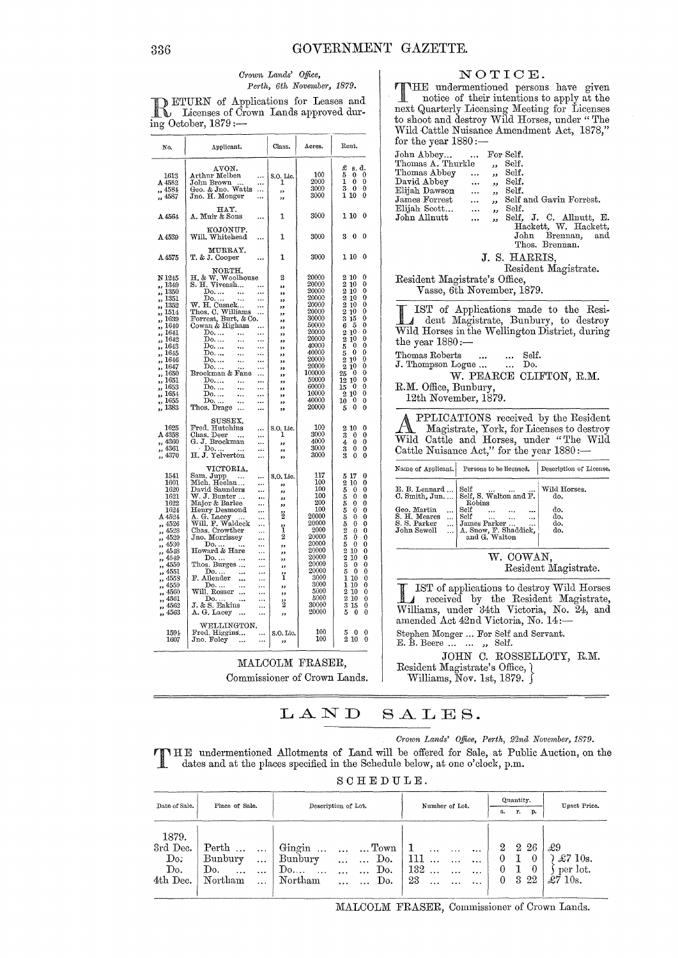NOTICE. THE undermentioned persons have given<br>notice of their intentions to apply at the

next Quarterly Licensing Meeting for Licenses<br>to shoot and destroy Wild Horses, under "The

### Crown Lands' Office, Perth, 6th November, 1879.

DETURN of Applications for Leases and<br>
Let Licenses of Crown Lands approved dur- $\overline{\text{ing October}}$ , 1879 :-

|                                 | $\sim$                                                                                         |                               |                 |                                                                                                                                        | Wild Cattle Nuisance Amendment Act, 1878,"                                       |
|---------------------------------|------------------------------------------------------------------------------------------------|-------------------------------|-----------------|----------------------------------------------------------------------------------------------------------------------------------------|----------------------------------------------------------------------------------|
| No.                             | Applicant.                                                                                     | Class.                        | Acres.          | Rent.                                                                                                                                  | for the year $1880 :=$<br>John Abbey<br>For Self.<br>$\cdots$                    |
|                                 | AVON.                                                                                          |                               |                 | $\begin{array}{cc} \text{\pounds} & \text{s. d.} \\ 5 & 0 & 0 \\ 1 & 0 & 0 \end{array}$                                                | Thomas A. Thurkle<br>Self.<br>رر                                                 |
| 1613                            | Arthur Melben                                                                                  | S.O. Lic.                     | 100             | $\overline{0}$ $\overline{0}$                                                                                                          | Thomas Abbey<br>Self.<br>$\ddotsc$<br>وو                                         |
| A 4582                          | John Brown<br>$\cdots$<br>Geo. & Jno. Watts                                                    | 1                             | 2000<br>3000    | $\mathbf{0}$<br>$\Omega$                                                                                                               | David Abbey<br>Self.<br>$\ddotsc$<br>رر                                          |
| ,, 4584<br>,, 4587              | $\ldots$<br>Jno. H. Monger<br>$\cdots$                                                         | ,,<br>,,                      | 3000            | $\begin{smallmatrix} 3 & 0 \ 1 & 10 \end{smallmatrix}$<br>$\bf{0}$                                                                     | Elijah Dawson<br>Self.<br>$\ddotsc$<br>,                                         |
|                                 |                                                                                                |                               |                 |                                                                                                                                        | James Forrest<br>Self and Gavin Forrest.<br>$\cdots$<br>$\overline{\phantom{a}}$ |
|                                 | HAY.                                                                                           |                               | 3000            | 1100                                                                                                                                   | Elijah Scott<br>Self.<br>$\cdots$<br>دد                                          |
| A 4564                          | A. Muir & Sons<br>                                                                             | 1                             |                 |                                                                                                                                        | John Allnutt<br>Self, J. C. Allnutt, E.<br>$\ddotsc$<br>رر                       |
|                                 | KOJONUP.                                                                                       |                               |                 |                                                                                                                                        | Hackett, W. Hackett,                                                             |
| A4539                           | Will. Whitehead<br>$\ddotsc$                                                                   | 1                             | 3000            | 300                                                                                                                                    | $_{\rm John}$<br>Brennan,<br>and                                                 |
|                                 | MURRAY.                                                                                        |                               |                 |                                                                                                                                        | Thos. Brennan.                                                                   |
| A 4575                          | T. & J. Cooper<br>$\ddotsc$                                                                    | 1                             | 3000            | 1100                                                                                                                                   | J. S. HARRIS,                                                                    |
|                                 |                                                                                                |                               |                 |                                                                                                                                        | Resident Magistrate.                                                             |
| N 1245                          | NORTH.<br>H. & W. Woolhouse                                                                    | $\overline{2}$                | 20000           | 2 10<br>$\bf{0}$                                                                                                                       |                                                                                  |
| ,, 1349                         | S. H. Viveash                                                                                  | $\bullet$                     | 20000           | $\frac{2}{2}$ $\frac{10}{10}$<br>$\bf{0}$                                                                                              | Resident Magistrate's Office,                                                    |
| ,, 1350                         | Do<br>$\ddotsc$<br>$\cdots$                                                                    | 55                            | 20000           | $\bf{0}$<br>$\bf{0}$                                                                                                                   | Vasse, 6th November, 1879.                                                       |
| ,, 1351<br>,, 1352              | $D_0, \ldots$<br>                                                                              | 33                            | 20000<br>20000  | $\overline{2}$ $\overline{1}$ <sup>0</sup><br>0                                                                                        |                                                                                  |
| ,, 1514                         | W. H. Cusack<br>Thos. C. Williams<br>Forrest, Burt, & Co.<br>$\ddot{\phantom{a}}$<br>$\ddotsc$ | $^{\prime\prime}$<br>,,       | 20000           | $\frac{2}{2}$ $\frac{10}{10}$<br>$\mathbf{0}$                                                                                          | IST of Applications made to the Resi-                                            |
| ,, 1639                         |                                                                                                | $^{\prime}$                   | 30000           | $\frac{3}{6}$ $\frac{15}{5}$<br>$\frac{6}{2}$ $\frac{10}{10}$<br>$\bf{0}$                                                              | dent Magistrate, Bunbury, to destroy                                             |
| ,, 1640<br>,, 1641              | Cowan & Higham<br>$\mathbf{D_0}$                                                               | ,,                            | 50000<br>20000  | $\pmb{0}$<br>$\bf{0}$                                                                                                                  | Wild Horses in the Wellington District, during                                   |
| , 1642                          | Do.<br>$\ddotsc$<br>$\ddotsc$                                                                  | $, \,$<br>,,                  | 20000           | $\bf{0}$                                                                                                                               | the year $1880:-$                                                                |
| ,, 1643                         | $\mathbf{D_0}$<br>$\ddotsc$<br>                                                                | $\overline{\mathbf{r}}$       | 40000           | $\bf{0}$                                                                                                                               |                                                                                  |
| ,, 1645<br>,, 1646              | Do<br>$\ldots$<br>$\ddotsc$<br>Do.<br>$\ddotsc$<br>$\cdots$                                    | ,,                            | 40000<br>20000  | $\theta$<br>$\mathbf{0}$                                                                                                               | Thomas Roberts<br>Self.<br>$\ddotsc$                                             |
| ,, 1647                         | $\mathbf{D}_0$<br>$\cdots$                                                                     | ,,<br>$^{\prime}$             | 20000           | $\begin{smallmatrix} 2 & 10 \ 2 & 10 \ 5 & 5 & 0 \ 2 & 10 & 2 \ 2 & 10 & 2 \ 25 & 0 & 10 \ 10 & 10 & 10 \end{smallmatrix}$<br>$\bf{0}$ | J. Thompson Logue<br>Do.                                                         |
| ,, 1650                         | Brockman & Fane<br>$\cdots$                                                                    | ,,                            | 100000          | $\mathbf 0$                                                                                                                            | W. PEARCE CLIFTON, R.M.                                                          |
| ,, 1651<br>,, 1653              | $D_0$<br>$\ddotsc$<br><br>${\rm Do.}$<br>$\ddotsc$<br>$\cdots$                                 | $^{\bullet}$                  | 50000<br>60000  | $\begin{smallmatrix} 12 & 10 \\ 15 & 0 \end{smallmatrix}$<br>$\mathbf 0$<br>$\bf{0}$<br>15                                             | R.M. Office, Bunbury,                                                            |
| ,, 1654                         | Do.<br>$\ddotsc$<br>                                                                           | ,,<br>$\overline{\mathbf{z}}$ | 10000           | 210<br>$\bf{0}$                                                                                                                        |                                                                                  |
| ,, 1655                         | $\mathbf{D}_0$<br>$\ddotsc$<br>                                                                | ,,                            | 40000           | $\mathbf{0}$<br>$\frac{10}{5}$<br>$\boldsymbol{0}$                                                                                     | 12th November, 1879.                                                             |
| ,, 1383                         | Thos. Drage<br>$\ldots$                                                                        | ,,                            | 20000           | $\bf{0}$<br>$\Omega$                                                                                                                   |                                                                                  |
|                                 | SUSSEX.                                                                                        |                               |                 |                                                                                                                                        | PPLICATIONS received by the Resident                                             |
| 1625                            | Fred. Hutchins                                                                                 | S.O. Lic.                     | 100             | 2 10<br>$\theta$                                                                                                                       | Magistrate, York, for Licenses to destroy                                        |
| A 4358<br>,, 4360               | Chas. Deer<br>$\sim$<br>$\cdots$<br>G. J. Brockman<br>                                         | 1<br>$\bullet$                | 3000<br>4000    | $\bf{0}$<br>$\theta$<br>$\pmb{0}$<br>$\theta$                                                                                          | Wild Cattle and Horses, under "The Wild                                          |
| ,, 4361                         | $\cdot$ Do<br>                                                                                 | ,,                            | 3000            | 343<br>$\bf{0}$<br>0                                                                                                                   | Cattle Nuisance Act," for the year 1880:-                                        |
| ,, 4370                         | H. J. Yelverton<br>$\cdots$                                                                    | $^{\prime\prime}$             | 3000            | $\ddot{\mathbf{0}}$<br>$\theta$                                                                                                        |                                                                                  |
|                                 | VICTORIA.                                                                                      |                               |                 |                                                                                                                                        | Name of Applicant.<br>Persons to be licensed.<br>Description of License.         |
| 1541                            | Sam. Jupp<br>                                                                                  | S.O. Lic.                     | 117             | $\mathbf 0$                                                                                                                            |                                                                                  |
| 1601<br>1620                    | Mich. Heelan<br>$\cdots$<br>David Saunders                                                     | ,,                            | 100<br>100      | $\mathbf{0}$<br>$\Omega$                                                                                                               | E. B. Lennard<br>Wild Horses.<br>$_{\rm Self}$                                   |
| 1621                            | <br>W. J. Bunter<br>                                                                           | $^{\prime}$<br>,,             | 100             | $\begin{array}{l} 5\ 17 \\ 2\ 5\ 0 \\ 5\ 5 \\ 5\ 5 \\ 5 \\ 5 \\ 2\ 5 \\ 2\ 6 \\ \end{array}$<br>$\mathbf 0$                            | Self, S. Walton and F.<br>C. Smith, Jun.<br>do,                                  |
| 1622                            | Major & Barlee<br>                                                                             | 55                            | 200             | $\mathbf 0$                                                                                                                            | Robins                                                                           |
| 1624<br>A 4524                  | Henry Desmond<br>$\cdots$                                                                      | 2                             | 100<br>20000    | $\bf{0}$<br>$\pmb{0}$                                                                                                                  | Self<br>Geo. Martin<br>do.<br>$\ldots$<br>S. H. Meares<br>Self<br>do.            |
| " 4526                          | <br>                                                                                           |                               | 20000           | $\theta$                                                                                                                               | S. S. Parker<br>James Parker<br>do.<br>$\ddotsc$                                 |
| ,, 4528                         | A. G. Lacey<br>Will. F. Waldeck<br>Chas. Crowther<br>Jno. Morrissey<br>                        | ï                             | 2000            | 0                                                                                                                                      | A. Snow, F. Shaddick, and G. Walton<br>John Sewell<br>do.<br>$\ddotsc$           |
| $\frac{1}{2}$ , 4529<br>,, 4530 | <br>$\cdots$                                                                                   | $\boldsymbol{2}$              | 20000<br>20000  | $\bf{0}$<br>$\bf{0}$                                                                                                                   |                                                                                  |
| ,, 4548                         | $\begin{array}{c}\n\text{Do} \\ \text{Howard & \text{Here}}\n\end{array}$<br>                  | ,,<br>$\overline{\mathbf{z}}$ | 20000           | $\begin{smallmatrix} 5 & 0 \\ 2 & 10 \\ 2 & 10 \\ 5 & 0 \\ \end{smallmatrix}$<br>$\bf{0}$                                              |                                                                                  |
| ,, 4549                         | Do. $\dots$<br>Thos. Burges<br>                                                                | ,,                            | 20000           | 0                                                                                                                                      | W. COWAN,                                                                        |
| ,, 4550<br>,, 4551              | $\cdots$<br>$Do.$<br>$\ddotsc$                                                                 | ,,                            | 20000<br>20000  | $\bf{0}$<br>$\theta$                                                                                                                   | Resident Magistrate.                                                             |
| ,, 4558                         | $\cdots$<br>F. Allender<br>$\cdots$<br>$\ldots$                                                | ï                             | 3000            | $\begin{smallmatrix} 5 & 0 \\ 1 & 10 \end{smallmatrix}$<br>$\bf{0}$                                                                    |                                                                                  |
| ,, 4559                         | Do<br>                                                                                         | ,,                            | 3000            | 1 10<br>$\bf{0}$                                                                                                                       | IST of applications to destroy Wild Horses                                       |
| ,, 4560<br>,, 4561              | Will. Rosser<br>$\cdots$<br>Do<br>$\ddotsc$                                                    | ,,                            | 5000<br>5000    | 2<br>10<br>$\bf{0}$<br>210<br>$\bf{0}$                                                                                                 | received by the Resident Magistrate,                                             |
| , 4562                          | $J.$ & S. Eakins<br>$\cdots$                                                                   | 3                             | 30000           | $\frac{3}{5}$ $\frac{15}{0}$<br>$\bf{0}$                                                                                               |                                                                                  |
| ,, 4563                         | A. G. Lacey<br>$\ddotsc$<br>$\cdots$                                                           | ,,                            | 20000           | $\overline{0}$<br>$\mathbf{0}$                                                                                                         | Williams, under 34th Victoria, No. 24, and                                       |
|                                 | WELLINGTON.                                                                                    |                               |                 |                                                                                                                                        | amended Act 42nd Victoria, No. 14:-                                              |
| 1594                            | Fred. Higgins<br>$\cdots$                                                                      | S.O. Lic.                     | 100             | $0\quad 0$<br>5                                                                                                                        | Stephen Monger  For Self and Servant.                                            |
| 1607                            | Jno. Foley<br>$\cdots$                                                                         |                               | 100             | 2100                                                                                                                                   | E. B. Beere   , Self.                                                            |
|                                 |                                                                                                |                               |                 |                                                                                                                                        |                                                                                  |
|                                 |                                                                                                |                               | MALCOLM FRASER, |                                                                                                                                        | JOHN C. ROSSELLOTY, R.M.                                                         |
|                                 |                                                                                                |                               |                 |                                                                                                                                        | Resident Magistrate's Office, {                                                  |
|                                 | Commissioner of Crown Lands.                                                                   |                               |                 |                                                                                                                                        | Williams, Nov. 1st, 1879. $\int$                                                 |
|                                 |                                                                                                |                               |                 |                                                                                                                                        |                                                                                  |
|                                 |                                                                                                |                               |                 |                                                                                                                                        |                                                                                  |

#### LAND SALES.

Crown Lands' Office, Perth, 22nd November, 1879.

THE undermentioned Allotments of Land will be offered for Sale, at Public Auction, on the r L dates and at the places specified in the Schedule below, at one o'clock, p.m.

| $S$ C H E D U L E. |  |  |  |  |  |  |  |  |  |
|--------------------|--|--|--|--|--|--|--|--|--|
|--------------------|--|--|--|--|--|--|--|--|--|

| Date of Sale.                               | Place of Sale.                                                                                    | Description of Lot.                                                                                                                                         | Number of Lot.                                                                                                                            | Quantity.<br>a.<br>р.<br>r.                                            | Upset Price.                                           |
|---------------------------------------------|---------------------------------------------------------------------------------------------------|-------------------------------------------------------------------------------------------------------------------------------------------------------------|-------------------------------------------------------------------------------------------------------------------------------------------|------------------------------------------------------------------------|--------------------------------------------------------|
| 1879.<br>3rd Dec.<br>Do:<br>Do.<br>4th Dec. | Perth<br>$\ddotsc$<br>Bunbury<br>$\cdots$<br>Do.<br>$\ddotsc$<br>$\cdots$<br>Northam<br>$\ddotsc$ | Gingin<br>$\ldots$ Town<br>$\cdots$<br>$\cdots$<br>Do.<br>Bunbury<br>$\cdots$<br>$\mathrm{Do}$<br>Do.<br>$\sim$<br>$\ddotsc$<br>$\ddotsc$<br>Northam<br>Do. | 1<br>$\ddotsc$<br>$\ddotsc$<br>111<br>$\ddots$<br>$\cdots$<br>$132$<br>$\cdots$<br>$\ddotsc$<br>23<br>$\ddotsc$<br>$\ddotsc$<br>$\ddotsc$ | $2\,26$<br>$^{2}$<br>0<br>$\theta$<br>0<br>$\theta$<br>322<br>$\theta$ | £9<br>$\pounds 710$ s.<br>per lot.<br>$\pounds$ 7 10s. |

MALCOLM FRASER, Commissioner of Crown Lands.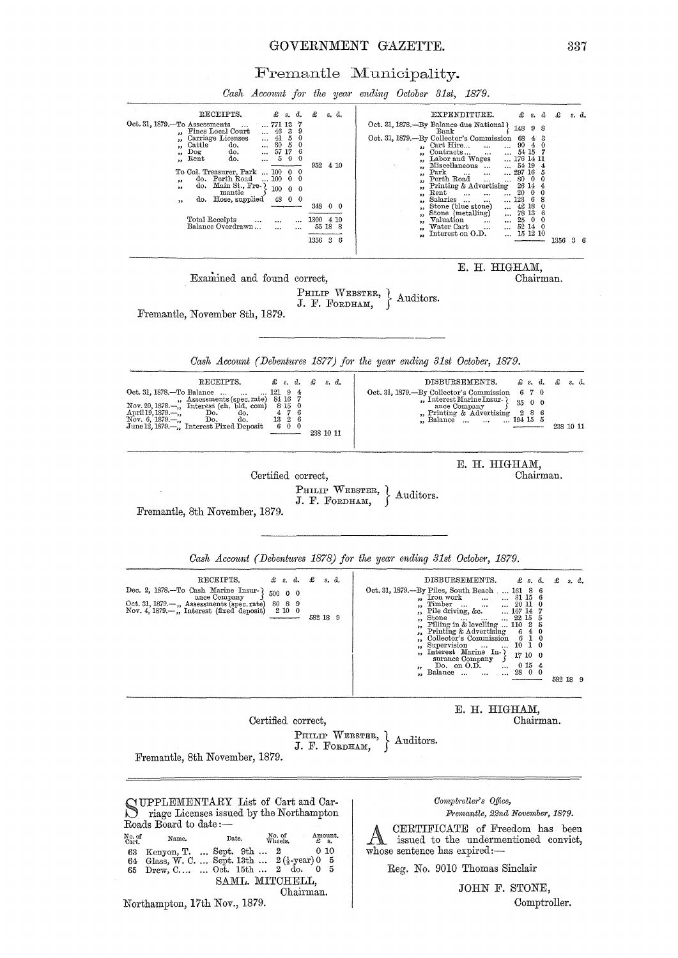### GOVERNMENT GAZETTE.

337

Fremantle Municipality.

Cash Account for the year ending October 31st, 1879. RECEIPTS. £  $s$ , d. £ EXPENDITURE.  $s, d.$  $\pounds$  s.  $d$ £ s. d.  $\begin{tabular}{l|c|c|c} \hline & EXPENDITURE. & \pounds s. d \\ \hline \multicolumn{3}{c}{Oct. 31, 1878.}--By Balance due National & 14s 9 & 8 \\ \hline \multicolumn{2}{c}{Oot. 31, 1879.}--By Collection's Commission & 68 & 4 & 3 \\ \multicolumn{2}{c}{D} & & & & & & & 90 & 4 & 0 \\ \multicolumn{2}{c}{D} & & & & & & 90 & 4 & 0 \\ \multicolumn{2}{c}{D} & & & & & 90 & 4 & 0 \\ \multicolumn{2}{c}{D} & & & & & 90 & 4 & 0$  $771$  13<br> $46$  3<br> $41$  5<br> $5$  5<br> $57$  17<br> $5$  6 ...  $\begin{array}{c} \text{``} \{ \begin{array}{c} 148 \ 9 \ 8 \\ \text{sd} \ \text{on} \quad \text{68} \ 4 \ 8 \\ \text{on} \quad 90 \ 4 \ 9 \\ \text{on} \quad 2476 \ 141 \ 141 \\ \text{on} \quad 54 \ 19 \ 4 \\ \text{on} \quad 54 \ 19 \ 4 \\ \text{on} \quad 297 \ 16 \ 6 \ 5 \ 0 \\ \text{on} \quad 229 \ 6 \ 14 \ 4 \ 4 \ 6 \ 9 \\ \text{on} \quad 228 \ 18 \ 9 \ 6 \ 8 \ 8 \ 8$  $\begin{bmatrix} 1 & 0 & 0 \\ 0 & 0 & 0 \\ 0 & 0 & 0 \\ 0 & 0 & 0 \\ 0 & 0 & 0 \\ 0 & 0 & 0 \\ 0 & 0 & 0 \\ 0 & 0 & 0 & 0 \\ 0 & 0 & 0 & 0 \\ 0 & 0 & 0 & 0 \\ 0 & 0 & 0 & 0 & 0 \\ 0 & 0 & 0 & 0 & 0 \\ 0 & 0 & 0 & 0 & 0 \\ 0 & 0 & 0 & 0 & 0 & 0 \\ 0 & 0 & 0 & 0 & 0 & 0 \\ 0 & 0 & 0 & 0 & 0 & 0 \\ 0 & 0 & 0 & 0 & 0 &$ カカガガガガガガガガガ 952 4 10  $\begin{tabular}{lllllllllllll} \textbf{To Col. Treasury, Park} & \textbf{not} & \textbf{100} & \textbf{0} & \textbf{0} \\ \textbf{\textit{9}} & \textbf{do.} & \textbf{Perth Road} & \textbf{0.} & \textbf{100} & \textbf{0.} & \textbf{0} \\ \textbf{\textit{9}} & \textbf{do.} & \textbf{Main} & \textbf{St.,} & \textbf{Pre} & \textbf{100} & \textbf{0.} & \textbf{0.} \\ \textbf{\textit{10}} & \textbf{do.} & \textbf{100s.} & \textbf{100s.}$ Salaries ...<br>Stone (but stone)<br>Stone (metalling)<br>Valuation ...<br>Water Cart ...<br>Interest on O.D.  $348 \t0 \t0$ Total Receipts ...<br>Balance Overdrawn...  $\frac{300}{55}$   $\frac{4}{18}$   $\frac{10}{8}$ 1300  $\ddotsc$  $\ddotsc$  $\ddotsc$ ,,  $1356 \t3 \t6$ 1356 3 6 E. H. HIGHAM, Examined and found correct. Chairman. PHILIP WEBSTER, Auditors. J. F. FORDHAM. Fremantle, November 8th, 1879. Cash Account (Debentures 1877) for the year ending 31st October, 1879. **RECEIPTS.**  $\pmb{\mathcal{L}}$  s. d.  $\pounds$  s. d. DISBURSEMENTS.  $\pounds$  s. d. £  $s, d.$  $\begin{array}{r} 2.3 \\ 121 \\ 84 \\ 8 \\ 16 \\ 8 \\ 15 \\ 7 \\ 13 \\ 2 \\ 6 \\ 0 \\ \end{array}$ -By Collector's Commission<br>
... Interest Marine Insur-<br>
... ance Company<br>
... Printing & Advertising<br>
... Balance<br>
... ... Oct. 31, 1878.—To Balance ...<br>Nov. 20, 1878.—", Assessments (spec. rate)<br>April 19, 1879.—, Interest (ch. bld. com)<br>April 19, 1879.—, Do. do.<br>June 12, 1879.—,, Interest Fixed Deposit Oct. 31, 1879.-6 7 0  $\frac{4}{7}$  0 6 6 6 0  $35000$  $\begin{smallmatrix}2&8&6\\194&15&5\end{smallmatrix}$ 238 10 11 238 10 11 E. H. HIGHAM, Certified correct, Chairman. PHILIP WEBSTER, } Auditors.<br>J. F. FORDHAM, } Fremantle, 8th November, 1879. Cash Account (Debentures 1878) for the year ending 31st October, 1879. RECEIPTS.  $\pounds$  s. d. DISBURSEMENTS.  $\pounds$  s. d.  $E$  s, d,  $\pounds$  s. d. DISBURSEMENTS.  $\ell$  s. d.<br>
Oct. 31, 1879.—By Piles, South Beach .... 161 8 6<br>
p. Tron work<br>
p. Tron work<br>
p. The driving, &c.<br>
p. 110 0 11 0<br>
p. Filling in  $\ddot{k}$  c.<br>
p. 110 1 2 5<br>
p. Tilling in  $\ddot{k}$  c.<br>
p. 110 2 5<br>
p  $\begin{tabular}{llllll} \textbf{Dec. 2, 1878.—To Cash Marine Insur-} & \\ &ance Company & 500 & 0 \\ & Oct. 31, 1879. - \textbf{...} & \textbf{Asesments (spec. rate)} & 80 & 8 & 9 \\ & Nov. 4, 1879. - \textbf{...} & \textbf{Interest (fixed deposit)} & 2 & 10 & 0 \\ \end{tabular}$ 582 18 9 582 18 9 E. H. HIGHAM, Certified correct, Chairman. PHILIP WEBSTER,  $\lambda$ Auditors. J. F. FORDHAM, Fremantle, 8th November, 1879. SUPPLEMENTARY List of Cart and Car-<br>
Surge Licenses issued by the National Comptroller's Office, Fremantle, 22nd November, 1879. Roads Board to date:-CERTIFICATE of Freedom has been No. of<br>Cart.  $\underset{\pmb{\mathcal{E}}}{\text{Amount}}.$ No. of<br>Wheels. Name. Date. issued to the undermentioned convict, Kenyon, T. ... Sept. 9th ... 2 0 10<br>Glass, W. C. ... Sept. 13th ... 2(4-year)0 5<br>Drew, C.... ... Oct. 15th ... 2 do. 0 5 whose sentence has expired:-63 64  $65$ Reg. No. 9010 Thomas Sinclair SAML. MITCHELL, JOHN F. STONE, Chairman. Comptroller. Northampton, 17th Nov., 1879.